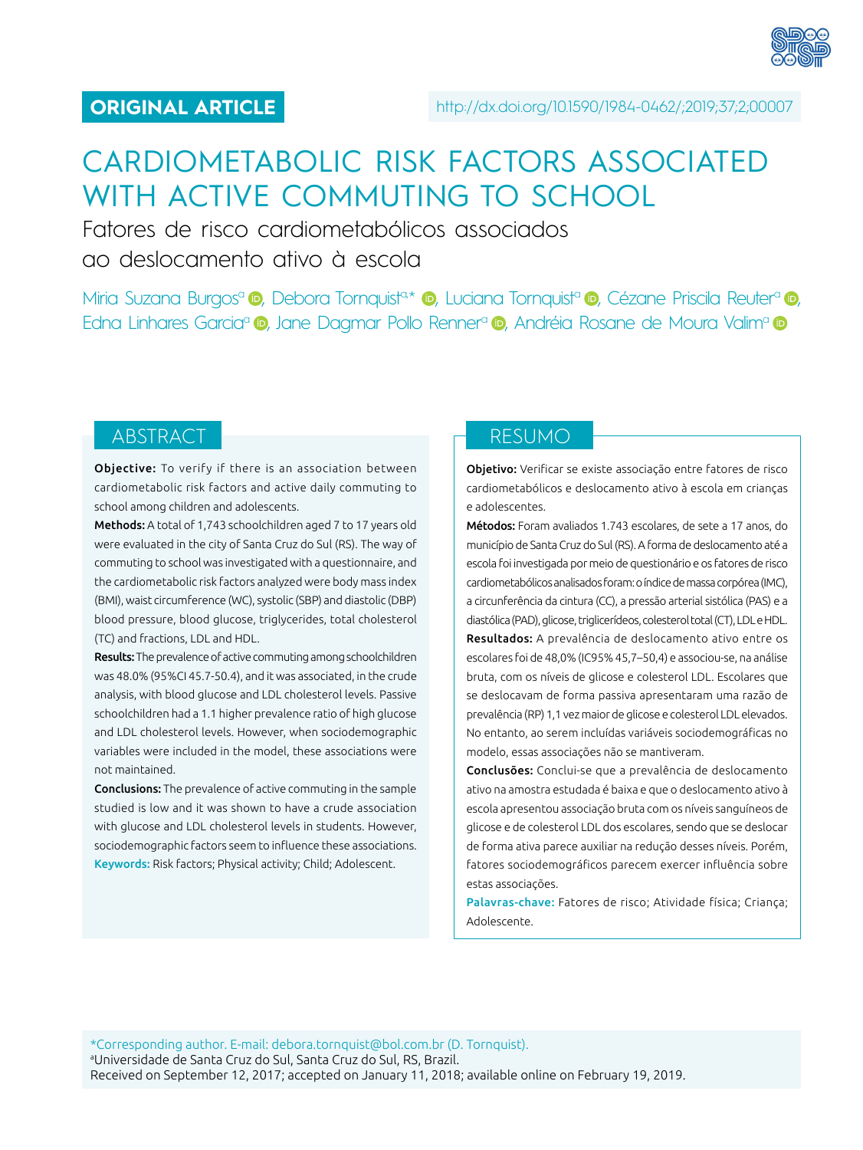

# CARDIOMETABOLIC RISK FACTORS ASSOCIATED WITH ACTIVE COMMUTING TO SCHOOL

Fatores de risco cardiometabólicos associados ao deslocamento ativo à escola

Miria Suzana Burgos<sup>a</sup> **ID**, Debora Tornquista\* **ID**, Luciana Tornquista **ID**, Cézane Priscila Reutera **ID**, EdnaLinhares Garcia<sup>a</sup> (D), Jane Dagmar Pollo Renner<sup>a</sup> (D), Andréia Rosane de Moura Valim<sup>a</sup> (D)

Objective: To verify if there is an association between cardiometabolic risk factors and active daily commuting to school among children and adolescents.

Methods: A total of 1,743 schoolchildren aged 7 to 17 years old were evaluated in the city of Santa Cruz do Sul (RS). The way of commuting to school was investigated with a questionnaire, and the cardiometabolic risk factors analyzed were body mass index (BMI), waist circumference (WC), systolic (SBP) and diastolic (DBP) blood pressure, blood glucose, triglycerides, total cholesterol (TC) and fractions, LDL and HDL.

Results: The prevalence of active commuting among schoolchildren was 48.0% (95%CI 45.7-50.4), and it was associated, in the crude analysis, with blood glucose and LDL cholesterol levels. Passive schoolchildren had a 1.1 higher prevalence ratio of high glucose and LDL cholesterol levels. However, when sociodemographic variables were included in the model, these associations were not maintained.

Conclusions: The prevalence of active commuting in the sample studied is low and it was shown to have a crude association with glucose and LDL cholesterol levels in students. However, sociodemographic factors seem to influence these associations. Keywords: Risk factors; Physical activity; Child; Adolescent.

# ABSTRACT RESUMO

Objetivo: Verificar se existe associação entre fatores de risco cardiometabólicos e deslocamento ativo à escola em crianças e adolescentes.

Métodos: Foram avaliados 1.743 escolares, de sete a 17 anos, do município de Santa Cruz do Sul (RS). A forma de deslocamento até a escola foi investigada por meio de questionário e os fatores de risco cardiometabólicos analisados foram: o índice de massa corpórea (IMC), a circunferência da cintura (CC), a pressão arterial sistólica (PAS) e a diastólica (PAD), glicose, triglicerídeos, colesterol total (CT), LDL e HDL. Resultados: A prevalência de deslocamento ativo entre os escolares foi de 48,0% (IC95% 45,7–50,4) e associou-se, na análise bruta, com os níveis de glicose e colesterol LDL. Escolares que se deslocavam de forma passiva apresentaram uma razão de prevalência (RP) 1,1 vez maior de glicose e colesterol LDL elevados. No entanto, ao serem incluídas variáveis sociodemográficas no modelo, essas associações não se mantiveram.

Conclusões: Conclui-se que a prevalência de deslocamento ativo na amostra estudada é baixa e que o deslocamento ativo à escola apresentou associação bruta com os níveis sanguíneos de glicose e de colesterol LDL dos escolares, sendo que se deslocar de forma ativa parece auxiliar na redução desses níveis. Porém, fatores sociodemográficos parecem exercer influência sobre estas associações.

Palavras-chave: Fatores de risco; Atividade física; Criança; Adolescente.

\*Corresponding author. E-mail: [debora.tornquist@bol.com.br](mailto:debora.tornquist@bol.com.br) (D. Tornquist). a Universidade de Santa Cruz do Sul, Santa Cruz do Sul, RS, Brazil. Received on September 12, 2017; accepted on January 11, 2018; available online on February 19, 2019.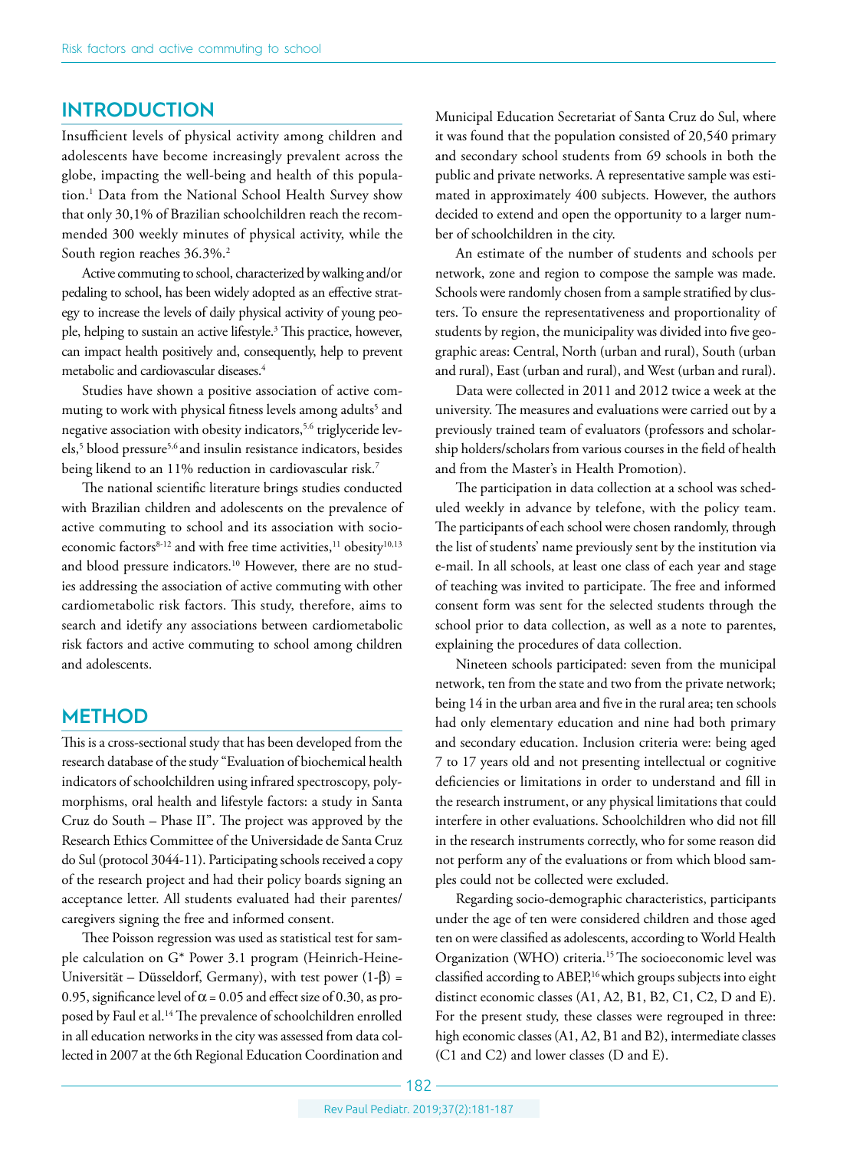### **INTRODUCTION**

Insufficient levels of physical activity among children and adolescents have become increasingly prevalent across the globe, impacting the well-being and health of this population.1 Data from the National School Health Survey show that only 30,1% of Brazilian schoolchildren reach the recommended 300 weekly minutes of physical activity, while the South region reaches 36.3%.<sup>2</sup>

Active commuting to school, characterized by walking and/or pedaling to school, has been widely adopted as an effective strategy to increase the levels of daily physical activity of young people, helping to sustain an active lifestyle.<sup>3</sup> This practice, however, can impact health positively and, consequently, help to prevent metabolic and cardiovascular diseases.4

Studies have shown a positive association of active commuting to work with physical fitness levels among adults<sup>5</sup> and negative association with obesity indicators,<sup>5.6</sup> triglyceride levels,5 blood pressure5,6 and insulin resistance indicators, besides being likend to an 11% reduction in cardiovascular risk.<sup>7</sup>

The national scientific literature brings studies conducted with Brazilian children and adolescents on the prevalence of active commuting to school and its association with socioeconomic factors<sup>8-12</sup> and with free time activities,<sup>11</sup> obesity<sup>10,13</sup> and blood pressure indicators.<sup>10</sup> However, there are no studies addressing the association of active commuting with other cardiometabolic risk factors. This study, therefore, aims to search and idetify any associations between cardiometabolic risk factors and active commuting to school among children and adolescents.

### **METHOD**

This is a cross-sectional study that has been developed from the research database of the study "Evaluation of biochemical health indicators of schoolchildren using infrared spectroscopy, polymorphisms, oral health and lifestyle factors: a study in Santa Cruz do South – Phase II". The project was approved by the Research Ethics Committee of the Universidade de Santa Cruz do Sul (protocol 3044-11). Participating schools received a copy of the research project and had their policy boards signing an acceptance letter. All students evaluated had their parentes/ caregivers signing the free and informed consent.

Thee Poisson regression was used as statistical test for sample calculation on G\* Power 3.1 program (Heinrich-Heine-Universität – Düsseldorf, Germany), with test power  $(1-\beta)$  = 0.95, significance level of  $\alpha$  = 0.05 and effect size of 0.30, as proposed by Faul et al.14 The prevalence of schoolchildren enrolled in all education networks in the city was assessed from data collected in 2007 at the 6th Regional Education Coordination and

Municipal Education Secretariat of Santa Cruz do Sul, where it was found that the population consisted of 20,540 primary and secondary school students from 69 schools in both the public and private networks. A representative sample was estimated in approximately 400 subjects. However, the authors decided to extend and open the opportunity to a larger number of schoolchildren in the city.

An estimate of the number of students and schools per network, zone and region to compose the sample was made. Schools were randomly chosen from a sample stratified by clusters. To ensure the representativeness and proportionality of students by region, the municipality was divided into five geographic areas: Central, North (urban and rural), South (urban and rural), East (urban and rural), and West (urban and rural).

Data were collected in 2011 and 2012 twice a week at the university. The measures and evaluations were carried out by a previously trained team of evaluators (professors and scholarship holders/scholars from various courses in the field of health and from the Master's in Health Promotion).

The participation in data collection at a school was scheduled weekly in advance by telefone, with the policy team. The participants of each school were chosen randomly, through the list of students' name previously sent by the institution via e-mail. In all schools, at least one class of each year and stage of teaching was invited to participate. The free and informed consent form was sent for the selected students through the school prior to data collection, as well as a note to parentes, explaining the procedures of data collection.

Nineteen schools participated: seven from the municipal network, ten from the state and two from the private network; being 14 in the urban area and five in the rural area; ten schools had only elementary education and nine had both primary and secondary education. Inclusion criteria were: being aged 7 to 17 years old and not presenting intellectual or cognitive deficiencies or limitations in order to understand and fill in the research instrument, or any physical limitations that could interfere in other evaluations. Schoolchildren who did not fill in the research instruments correctly, who for some reason did not perform any of the evaluations or from which blood samples could not be collected were excluded.

Regarding socio-demographic characteristics, participants under the age of ten were considered children and those aged ten on were classified as adolescents, according to World Health Organization (WHO) criteria.15 The socioeconomic level was classified according to ABEP,16 which groups subjects into eight distinct economic classes (A1, A2, B1, B2, C1, C2, D and E). For the present study, these classes were regrouped in three: high economic classes (A1, A2, B1 and B2), intermediate classes (C1 and C2) and lower classes (D and E).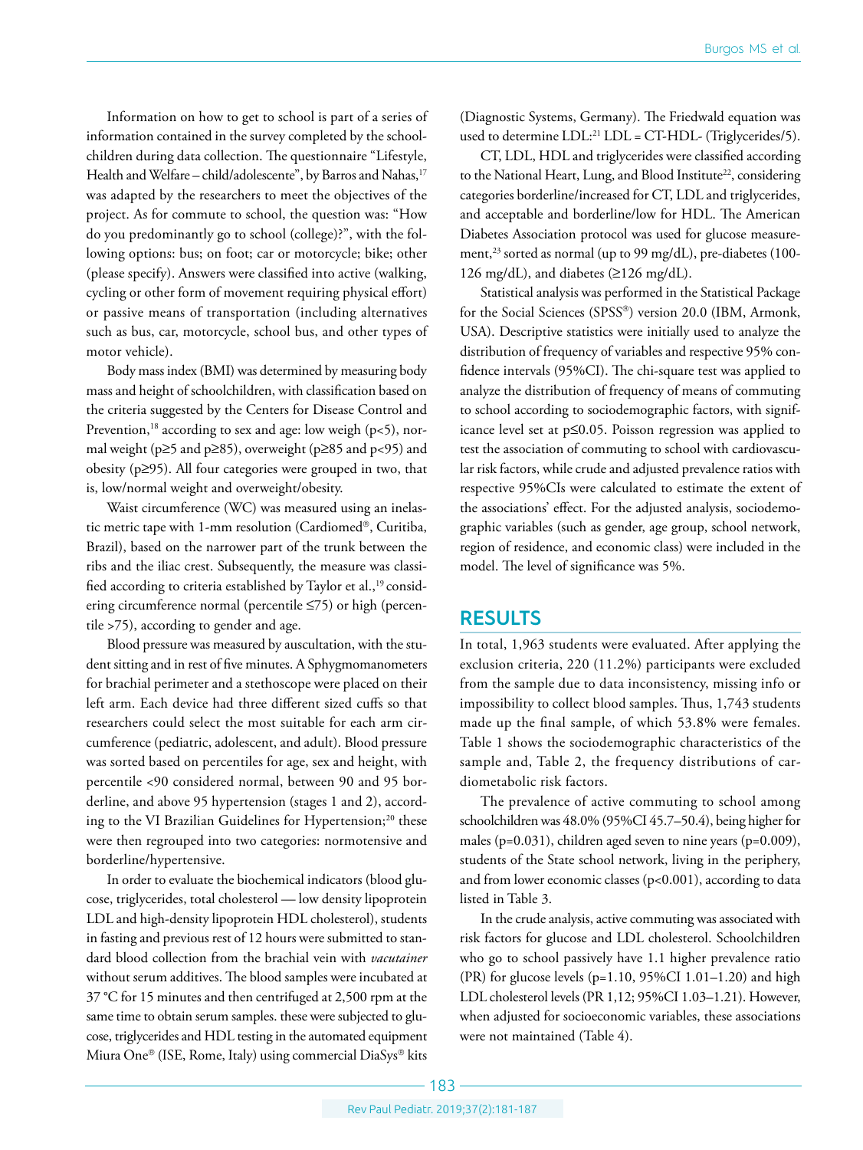Information on how to get to school is part of a series of information contained in the survey completed by the schoolchildren during data collection. The questionnaire "Lifestyle, Health and Welfare – child/adolescente", by Barros and Nahas,<sup>17</sup> was adapted by the researchers to meet the objectives of the project. As for commute to school, the question was: "How do you predominantly go to school (college)?", with the following options: bus; on foot; car or motorcycle; bike; other (please specify). Answers were classified into active (walking, cycling or other form of movement requiring physical effort) or passive means of transportation (including alternatives such as bus, car, motorcycle, school bus, and other types of motor vehicle).

Body mass index (BMI) was determined by measuring body mass and height of schoolchildren, with classification based on the criteria suggested by the Centers for Disease Control and Prevention,<sup>18</sup> according to sex and age: low weigh ( $p$ <5), normal weight (p≥5 and p≥85), overweight (p≥85 and p<95) and obesity (p≥95). All four categories were grouped in two, that is, low/normal weight and overweight/obesity.

Waist circumference (WC) was measured using an inelastic metric tape with 1-mm resolution (Cardiomed®, Curitiba, Brazil), based on the narrower part of the trunk between the ribs and the iliac crest. Subsequently, the measure was classified according to criteria established by Taylor et al.,<sup>19</sup> considering circumference normal (percentile ≤75) or high (percentile >75), according to gender and age.

Blood pressure was measured by auscultation, with the student sitting and in rest of five minutes. A Sphygmomanometers for brachial perimeter and a stethoscope were placed on their left arm. Each device had three different sized cuffs so that researchers could select the most suitable for each arm circumference (pediatric, adolescent, and adult). Blood pressure was sorted based on percentiles for age, sex and height, with percentile <90 considered normal, between 90 and 95 borderline, and above 95 hypertension (stages 1 and 2), according to the VI Brazilian Guidelines for Hypertension;<sup>20</sup> these were then regrouped into two categories: normotensive and borderline/hypertensive.

In order to evaluate the biochemical indicators (blood glucose, triglycerides, total cholesterol — low density lipoprotein LDL and high-density lipoprotein HDL cholesterol), students in fasting and previous rest of 12 hours were submitted to standard blood collection from the brachial vein with *vacutainer* without serum additives. The blood samples were incubated at 37 °C for 15 minutes and then centrifuged at 2,500 rpm at the same time to obtain serum samples. these were subjected to glucose, triglycerides and HDL testing in the automated equipment Miura One® (ISE, Rome, Italy) using commercial DiaSys® kits

(Diagnostic Systems, Germany). The Friedwald equation was used to determine LDL<sup>.21</sup> LDL = CT-HDL- (Triglycerides/5).

CT, LDL, HDL and triglycerides were classified according to the National Heart, Lung, and Blood Institute<sup>22</sup>, considering categories borderline/increased for CT, LDL and triglycerides, and acceptable and borderline/low for HDL. The American Diabetes Association protocol was used for glucose measurement,<sup>23</sup> sorted as normal (up to 99 mg/dL), pre-diabetes (100-126 mg/dL), and diabetes (≥126 mg/dL).

Statistical analysis was performed in the Statistical Package for the Social Sciences (SPSS®) version 20.0 (IBM, Armonk, USA). Descriptive statistics were initially used to analyze the distribution of frequency of variables and respective 95% confidence intervals (95%CI). The chi-square test was applied to analyze the distribution of frequency of means of commuting to school according to sociodemographic factors, with significance level set at p≤0.05. Poisson regression was applied to test the association of commuting to school with cardiovascular risk factors, while crude and adjusted prevalence ratios with respective 95%CIs were calculated to estimate the extent of the associations' effect. For the adjusted analysis, sociodemographic variables (such as gender, age group, school network, region of residence, and economic class) were included in the model. The level of significance was 5%.

#### **RESULTS**

In total, 1,963 students were evaluated. After applying the exclusion criteria, 220 (11.2%) participants were excluded from the sample due to data inconsistency, missing info or impossibility to collect blood samples. Thus, 1,743 students made up the final sample, of which 53.8% were females. Table 1 shows the sociodemographic characteristics of the sample and, Table 2, the frequency distributions of cardiometabolic risk factors.

The prevalence of active commuting to school among schoolchildren was 48.0% (95%CI 45.7–50.4), being higher for males (p=0.031), children aged seven to nine years (p=0.009), students of the State school network, living in the periphery, and from lower economic classes (p<0.001), according to data listed in Table 3.

In the crude analysis, active commuting was associated with risk factors for glucose and LDL cholesterol. Schoolchildren who go to school passively have 1.1 higher prevalence ratio (PR) for glucose levels (p=1.10, 95%CI 1.01–1.20) and high LDL cholesterol levels (PR 1,12; 95%CI 1.03–1.21). However, when adjusted for socioeconomic variables, these associations were not maintained (Table 4).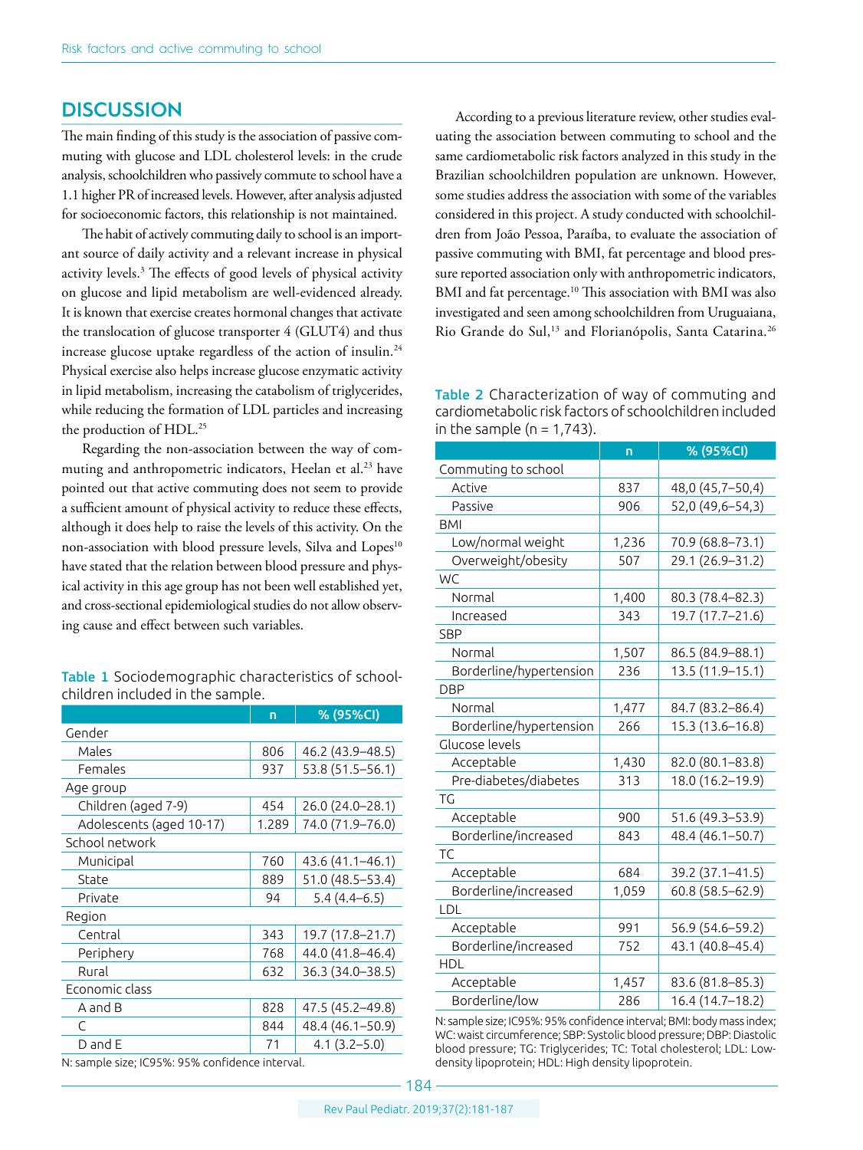## **DISCUSSION**

The main finding of this study is the association of passive commuting with glucose and LDL cholesterol levels: in the crude analysis, schoolchildren who passively commute to school have a 1.1 higher PR of increased levels. However, after analysis adjusted for socioeconomic factors, this relationship is not maintained.

The habit of actively commuting daily to school is an important source of daily activity and a relevant increase in physical activity levels.3 The effects of good levels of physical activity on glucose and lipid metabolism are well-evidenced already. It is known that exercise creates hormonal changes that activate the translocation of glucose transporter 4 (GLUT4) and thus increase glucose uptake regardless of the action of insulin.<sup>24</sup> Physical exercise also helps increase glucose enzymatic activity in lipid metabolism, increasing the catabolism of triglycerides, while reducing the formation of LDL particles and increasing the production of HDL.<sup>25</sup>

Regarding the non-association between the way of commuting and anthropometric indicators, Heelan et al.<sup>23</sup> have pointed out that active commuting does not seem to provide a sufficient amount of physical activity to reduce these effects, although it does help to raise the levels of this activity. On the non-association with blood pressure levels, Silva and Lopes<sup>10</sup> have stated that the relation between blood pressure and physical activity in this age group has not been well established yet, and cross-sectional epidemiological studies do not allow observing cause and effect between such variables.

Table 1 Sociodemographic characteristics of schoolchildren included in the sample.

|                | % (95%CI)        |  |  |  |  |
|----------------|------------------|--|--|--|--|
|                |                  |  |  |  |  |
| 806            | 46.2 (43.9–48.5) |  |  |  |  |
| 937            | 53.8 (51.5-56.1) |  |  |  |  |
|                |                  |  |  |  |  |
| 454            | 26.0 (24.0-28.1) |  |  |  |  |
| 1.289          | 74.0 (71.9–76.0) |  |  |  |  |
| School network |                  |  |  |  |  |
| 760            | 43.6 (41.1-46.1) |  |  |  |  |
| 889            | 51.0 (48.5–53.4) |  |  |  |  |
| 94             | $5.4(4.4-6.5)$   |  |  |  |  |
| Region         |                  |  |  |  |  |
| 343            | 19.7 (17.8–21.7) |  |  |  |  |
| 768            | 44.0 (41.8–46.4) |  |  |  |  |
| 632            | 36.3 (34.0–38.5) |  |  |  |  |
|                |                  |  |  |  |  |
| 828            | 47.5 (45.2–49.8) |  |  |  |  |
| 844            | 48.4 (46.1-50.9) |  |  |  |  |
| 71             | $4.1(3.2 - 5.0)$ |  |  |  |  |
|                |                  |  |  |  |  |

N: sample size; IC95%: 95% confidence interval.

According to a previous literature review, other studies evaluating the association between commuting to school and the same cardiometabolic risk factors analyzed in this study in the Brazilian schoolchildren population are unknown. However, some studies address the association with some of the variables considered in this project. A study conducted with schoolchildren from João Pessoa, Paraíba, to evaluate the association of passive commuting with BMI, fat percentage and blood pressure reported association only with anthropometric indicators, BMI and fat percentage.<sup>10</sup> This association with BMI was also investigated and seen among schoolchildren from Uruguaiana, Rio Grande do Sul,<sup>13</sup> and Florianópolis, Santa Catarina.<sup>26</sup>

| Table 2 Characterization of way of commuting and        |
|---------------------------------------------------------|
| cardiometabolic risk factors of schoolchildren included |
| in the sample ( $n = 1,743$ ).                          |

|                         | n     | % (95%CI)           |
|-------------------------|-------|---------------------|
| Commuting to school     |       |                     |
| Active                  | 837   | 48,0 (45,7-50,4)    |
| Passive                 | 906   | 52,0 (49,6-54,3)    |
| <b>BMI</b>              |       |                     |
| Low/normal weight       | 1,236 | 70.9 (68.8-73.1)    |
| Overweight/obesity      | 507   | 29.1 (26.9-31.2)    |
| WC                      |       |                     |
| Normal                  | 1,400 | 80.3 (78.4-82.3)    |
| Increased               | 343   | 19.7 (17.7-21.6)    |
| <b>SBP</b>              |       |                     |
| Normal                  | 1,507 | 86.5 (84.9-88.1)    |
| Borderline/hypertension | 236   | 13.5 (11.9-15.1)    |
| <b>DBP</b>              |       |                     |
| Normal                  | 1,477 | 84.7 (83.2-86.4)    |
| Borderline/hypertension | 266   | 15.3 (13.6-16.8)    |
| Glucose levels          |       |                     |
| Acceptable              | 1,430 | 82.0 (80.1-83.8)    |
| Pre-diabetes/diabetes   | 313   | 18.0 (16.2-19.9)    |
| ТG                      |       |                     |
| Acceptable              | 900   | 51.6 (49.3–53.9)    |
| Borderline/increased    | 843   | 48.4 (46.1-50.7)    |
| TC                      |       |                     |
| Acceptable              | 684   | 39.2 (37.1-41.5)    |
| Borderline/increased    | 1,059 | $60.8(58.5 - 62.9)$ |
| LDL                     |       |                     |
| Acceptable              | 991   | 56.9 (54.6–59.2)    |
| Borderline/increased    | 752   | 43.1 (40.8-45.4)    |
| HDL                     |       |                     |
| Acceptable              | 1,457 | 83.6 (81.8-85.3)    |
| Borderline/low          | 286   | 16.4 (14.7-18.2)    |

N: sample size; IC95%: 95% confidence interval; BMI: body mass index; WC: waist circumference; SBP: Systolic blood pressure; DBP: Diastolic blood pressure; TG: Triglycerides; TC: Total cholesterol; LDL: Lowdensity lipoprotein; HDL: High density lipoprotein.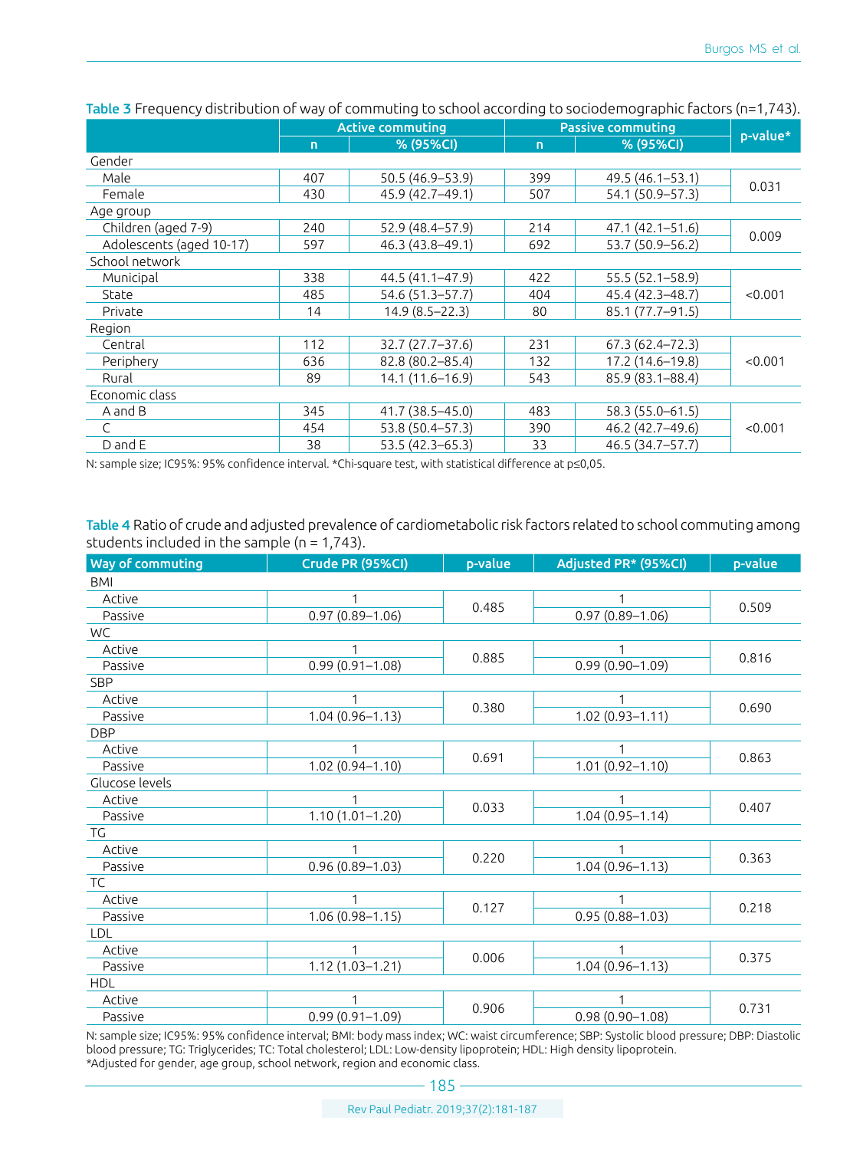|                          | <b>Active commuting</b> |                    | <b>Passive commuting</b> |                     |          |  |
|--------------------------|-------------------------|--------------------|--------------------------|---------------------|----------|--|
|                          | $\mathbf{D}$            | % (95%CI)          | $\mathbf{D}$             | % (95%CI)           | p-value* |  |
| Gender                   |                         |                    |                          |                     |          |  |
| Male                     | 407                     | 50.5 (46.9-53.9)   | 399                      | 49.5 (46.1-53.1)    |          |  |
| Female                   | 430                     | 45.9 (42.7-49.1)   | 507                      | 54.1 (50.9-57.3)    | 0.031    |  |
| Age group                |                         |                    |                          |                     |          |  |
| Children (aged 7-9)      | 240                     | 52.9 (48.4-57.9)   | 214                      | 47.1 (42.1-51.6)    | 0.009    |  |
| Adolescents (aged 10-17) | 597                     | 46.3 (43.8-49.1)   | 692                      | 53.7 (50.9-56.2)    |          |  |
| School network           |                         |                    |                          |                     |          |  |
| Municipal                | 338                     | 44.5 (41.1–47.9)   | 422                      | $55.5(52.1 - 58.9)$ | < 0.001  |  |
| State                    | 485                     | 54.6 (51.3–57.7)   | 404                      | 45.4 (42.3-48.7)    |          |  |
| Private                  | 14                      | $14.9(8.5 - 22.3)$ | 80                       | 85.1 (77.7-91.5)    |          |  |
| Region                   |                         |                    |                          |                     |          |  |
| Central                  | 112                     | 32.7 (27.7-37.6)   | 231                      | $67.3(62.4 - 72.3)$ | < 0.001  |  |
| Periphery                | 636                     | 82.8 (80.2-85.4)   | 132                      | 17.2 (14.6-19.8)    |          |  |
| Rural                    | 89                      | 14.1 (11.6-16.9)   | 543                      | 85.9 (83.1-88.4)    |          |  |
| Economic class           |                         |                    |                          |                     |          |  |
| A and B                  | 345                     | 41.7 (38.5-45.0)   | 483                      | 58.3 (55.0-61.5)    |          |  |
| $\mathsf{C}$             | 454                     | 53.8 (50.4-57.3)   | 390                      | 46.2 (42.7-49.6)    | < 0.001  |  |
| D and E                  | 38                      | 53.5 (42.3-65.3)   | 33                       | 46.5 (34.7-57.7)    |          |  |

Table 3 Frequency distribution of way of commuting to school according to sociodemographic factors (n=1,743).

N: sample size; IC95%: 95% confidence interval. \*Chi-square test, with statistical difference at p≤0,05.

Table 4 Ratio of crude and adjusted prevalence of cardiometabolic risk factors related to school commuting among students included in the sample ( $n = 1,743$ ).

| Way of commuting | Crude PR (95%CI)    | p-value | Adjusted PR* (95%Cl) | p-value |  |
|------------------|---------------------|---------|----------------------|---------|--|
| <b>BMI</b>       |                     |         |                      |         |  |
| Active           |                     |         |                      |         |  |
| Passive          | $0.97(0.89 - 1.06)$ | 0.485   | $0.97(0.89 - 1.06)$  | 0.509   |  |
| WC               |                     |         |                      |         |  |
| Active           |                     | 0.885   |                      | 0.816   |  |
| Passive          | $0.99(0.91 - 1.08)$ |         | $0.99(0.90 - 1.09)$  |         |  |
| SBP              |                     |         |                      |         |  |
| Active           |                     |         |                      | 0.690   |  |
| Passive          | $1.04(0.96 - 1.13)$ | 0.380   | $1.02(0.93 - 1.11)$  |         |  |
| <b>DBP</b>       |                     |         |                      |         |  |
| Active           |                     | 0.691   |                      | 0.863   |  |
| Passive          | $1.02(0.94 - 1.10)$ |         | $1.01(0.92 - 1.10)$  |         |  |
| Glucose levels   |                     |         |                      |         |  |
| Active           |                     | 0.033   |                      | 0.407   |  |
| Passive          | $1.10(1.01 - 1.20)$ |         | $1.04(0.95 - 1.14)$  |         |  |
| TG               |                     |         |                      |         |  |
| Active           |                     | 0.220   |                      | 0.363   |  |
| Passive          | $0.96(0.89 - 1.03)$ |         | $1.04(0.96 - 1.13)$  |         |  |
| TC               |                     |         |                      |         |  |
| Active           | 1                   | 0.127   |                      | 0.218   |  |
| Passive          | $1.06(0.98 - 1.15)$ |         | $0.95(0.88 - 1.03)$  |         |  |
| <b>LDL</b>       |                     |         |                      |         |  |
| Active           | $\mathbf{1}$        | 0.006   | 1                    | 0.375   |  |
| Passive          | $1.12(1.03 - 1.21)$ |         | $1.04(0.96 - 1.13)$  |         |  |
| <b>HDL</b>       |                     |         |                      |         |  |
| Active           | 1                   | 0.906   |                      | 0.731   |  |
| Passive          | $0.99(0.91 - 1.09)$ |         | $0.98(0.90 - 1.08)$  |         |  |

N: sample size; IC95%: 95% confidence interval; BMI: body mass index; WC: waist circumference; SBP: Systolic blood pressure; DBP: Diastolic blood pressure; TG: Triglycerides; TC: Total cholesterol; LDL: Low-density lipoprotein; HDL: High density lipoprotein. \*Adjusted for gender, age group, school network, region and economic class.

 $-185-$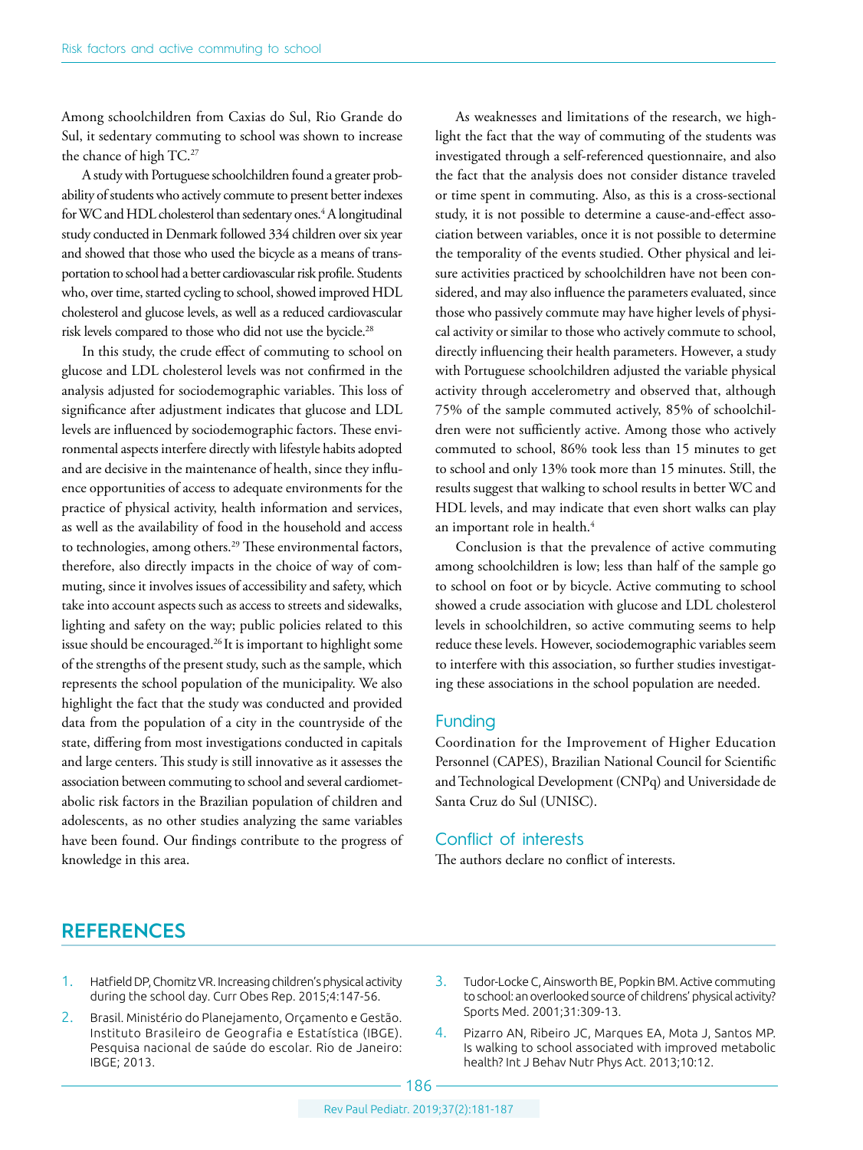Among schoolchildren from Caxias do Sul, Rio Grande do Sul, it sedentary commuting to school was shown to increase the chance of high TC.<sup>27</sup>

A study with Portuguese schoolchildren found a greater probability of students who actively commute to present better indexes for WC and HDL cholesterol than sedentary ones.<sup>4</sup> A longitudinal study conducted in Denmark followed 334 children over six year and showed that those who used the bicycle as a means of transportation to school had a better cardiovascular risk profile. Students who, over time, started cycling to school, showed improved HDL cholesterol and glucose levels, as well as a reduced cardiovascular risk levels compared to those who did not use the bycicle.28

In this study, the crude effect of commuting to school on glucose and LDL cholesterol levels was not confirmed in the analysis adjusted for sociodemographic variables. This loss of significance after adjustment indicates that glucose and LDL levels are influenced by sociodemographic factors. These environmental aspects interfere directly with lifestyle habits adopted and are decisive in the maintenance of health, since they influence opportunities of access to adequate environments for the practice of physical activity, health information and services, as well as the availability of food in the household and access to technologies, among others.<sup>29</sup> These environmental factors, therefore, also directly impacts in the choice of way of commuting, since it involves issues of accessibility and safety, which take into account aspects such as access to streets and sidewalks, lighting and safety on the way; public policies related to this issue should be encouraged.26 It is important to highlight some of the strengths of the present study, such as the sample, which represents the school population of the municipality. We also highlight the fact that the study was conducted and provided data from the population of a city in the countryside of the state, differing from most investigations conducted in capitals and large centers. This study is still innovative as it assesses the association between commuting to school and several cardiometabolic risk factors in the Brazilian population of children and adolescents, as no other studies analyzing the same variables have been found. Our findings contribute to the progress of knowledge in this area.

As weaknesses and limitations of the research, we highlight the fact that the way of commuting of the students was investigated through a self-referenced questionnaire, and also the fact that the analysis does not consider distance traveled or time spent in commuting. Also, as this is a cross-sectional study, it is not possible to determine a cause-and-effect association between variables, once it is not possible to determine the temporality of the events studied. Other physical and leisure activities practiced by schoolchildren have not been considered, and may also influence the parameters evaluated, since those who passively commute may have higher levels of physical activity or similar to those who actively commute to school, directly influencing their health parameters. However, a study with Portuguese schoolchildren adjusted the variable physical activity through accelerometry and observed that, although 75% of the sample commuted actively, 85% of schoolchildren were not sufficiently active. Among those who actively commuted to school, 86% took less than 15 minutes to get to school and only 13% took more than 15 minutes. Still, the results suggest that walking to school results in better WC and HDL levels, and may indicate that even short walks can play an important role in health.<sup>4</sup>

Conclusion is that the prevalence of active commuting among schoolchildren is low; less than half of the sample go to school on foot or by bicycle. Active commuting to school showed a crude association with glucose and LDL cholesterol levels in schoolchildren, so active commuting seems to help reduce these levels. However, sociodemographic variables seem to interfere with this association, so further studies investigating these associations in the school population are needed.

#### Funding

Coordination for the Improvement of Higher Education Personnel (CAPES), Brazilian National Council for Scientific and Technological Development (CNPq) and Universidade de Santa Cruz do Sul (UNISC).

#### Conflict of interests

The authors declare no conflict of interests.

### **REFERENCES**

- 1. Hatfield DP, Chomitz VR. Increasing children's physical activity during the school day. Curr Obes Rep. 2015;4:147-56.
- 2. Brasil. Ministério do Planejamento, Orçamento e Gestão. Instituto Brasileiro de Geografia e Estatística (IBGE). Pesquisa nacional de saúde do escolar. Rio de Janeiro: IBGE; 2013.
- 3. Tudor-Locke C, Ainsworth BE, Popkin BM. Active commuting to school: an overlooked source of childrens' physical activity? Sports Med. 2001;31:309-13.
- 4. Pizarro AN, Ribeiro JC, Marques EA, Mota J, Santos MP. Is walking to school associated with improved metabolic health? Int J Behav Nutr Phys Act. 2013;10:12.